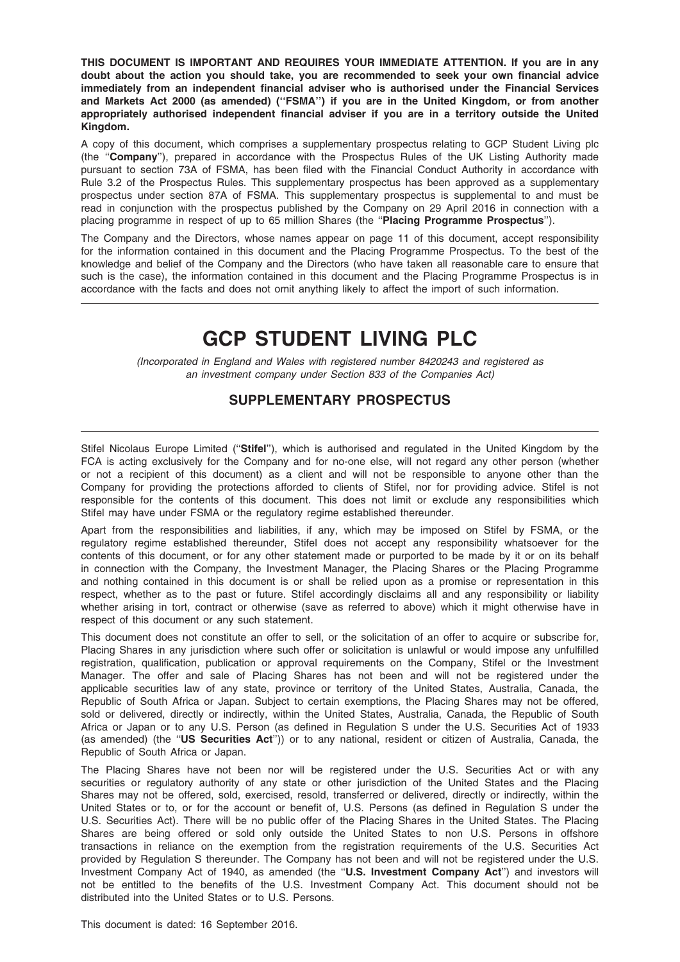THIS DOCUMENT IS IMPORTANT AND REQUIRES YOUR IMMEDIATE ATTENTION. If you are in any doubt about the action you should take, you are recommended to seek your own financial advice immediately from an independent financial adviser who is authorised under the Financial Services and Markets Act 2000 (as amended) (''FSMA'') if you are in the United Kingdom, or from another appropriately authorised independent financial adviser if you are in a territory outside the United Kingdom.

A copy of this document, which comprises a supplementary prospectus relating to GCP Student Living plc (the ''Company''), prepared in accordance with the Prospectus Rules of the UK Listing Authority made pursuant to section 73A of FSMA, has been filed with the Financial Conduct Authority in accordance with Rule 3.2 of the Prospectus Rules. This supplementary prospectus has been approved as a supplementary prospectus under section 87A of FSMA. This supplementary prospectus is supplemental to and must be read in conjunction with the prospectus published by the Company on 29 April 2016 in connection with a placing programme in respect of up to 65 million Shares (the "Placing Programme Prospectus").

The Company and the Directors, whose names appear on page 11 of this document, accept responsibility for the information contained in this document and the Placing Programme Prospectus. To the best of the knowledge and belief of the Company and the Directors (who have taken all reasonable care to ensure that such is the case), the information contained in this document and the Placing Programme Prospectus is in accordance with the facts and does not omit anything likely to affect the import of such information.

# GCP STUDENT LIVING PLC

(Incorporated in England and Wales with registered number 8420243 and registered as an investment company under Section 833 of the Companies Act)

# SUPPLEMENTARY PROSPECTUS

Stifel Nicolaus Europe Limited ("Stifel"), which is authorised and regulated in the United Kingdom by the FCA is acting exclusively for the Company and for no-one else, will not regard any other person (whether or not a recipient of this document) as a client and will not be responsible to anyone other than the Company for providing the protections afforded to clients of Stifel, nor for providing advice. Stifel is not responsible for the contents of this document. This does not limit or exclude any responsibilities which Stifel may have under FSMA or the regulatory regime established thereunder.

Apart from the responsibilities and liabilities, if any, which may be imposed on Stifel by FSMA, or the regulatory regime established thereunder, Stifel does not accept any responsibility whatsoever for the contents of this document, or for any other statement made or purported to be made by it or on its behalf in connection with the Company, the Investment Manager, the Placing Shares or the Placing Programme and nothing contained in this document is or shall be relied upon as a promise or representation in this respect, whether as to the past or future. Stifel accordingly disclaims all and any responsibility or liability whether arising in tort, contract or otherwise (save as referred to above) which it might otherwise have in respect of this document or any such statement.

This document does not constitute an offer to sell, or the solicitation of an offer to acquire or subscribe for, Placing Shares in any jurisdiction where such offer or solicitation is unlawful or would impose any unfulfilled registration, qualification, publication or approval requirements on the Company, Stifel or the Investment Manager. The offer and sale of Placing Shares has not been and will not be registered under the applicable securities law of any state, province or territory of the United States, Australia, Canada, the Republic of South Africa or Japan. Subject to certain exemptions, the Placing Shares may not be offered, sold or delivered, directly or indirectly, within the United States, Australia, Canada, the Republic of South Africa or Japan or to any U.S. Person (as defined in Regulation S under the U.S. Securities Act of 1933 (as amended) (the "US Securities Act")) or to any national, resident or citizen of Australia, Canada, the Republic of South Africa or Japan.

The Placing Shares have not been nor will be registered under the U.S. Securities Act or with any securities or regulatory authority of any state or other jurisdiction of the United States and the Placing Shares may not be offered, sold, exercised, resold, transferred or delivered, directly or indirectly, within the United States or to, or for the account or benefit of, U.S. Persons (as defined in Regulation S under the U.S. Securities Act). There will be no public offer of the Placing Shares in the United States. The Placing Shares are being offered or sold only outside the United States to non U.S. Persons in offshore transactions in reliance on the exemption from the registration requirements of the U.S. Securities Act provided by Regulation S thereunder. The Company has not been and will not be registered under the U.S. Investment Company Act of 1940, as amended (the "U.S. Investment Company Act") and investors will not be entitled to the benefits of the U.S. Investment Company Act. This document should not be distributed into the United States or to U.S. Persons.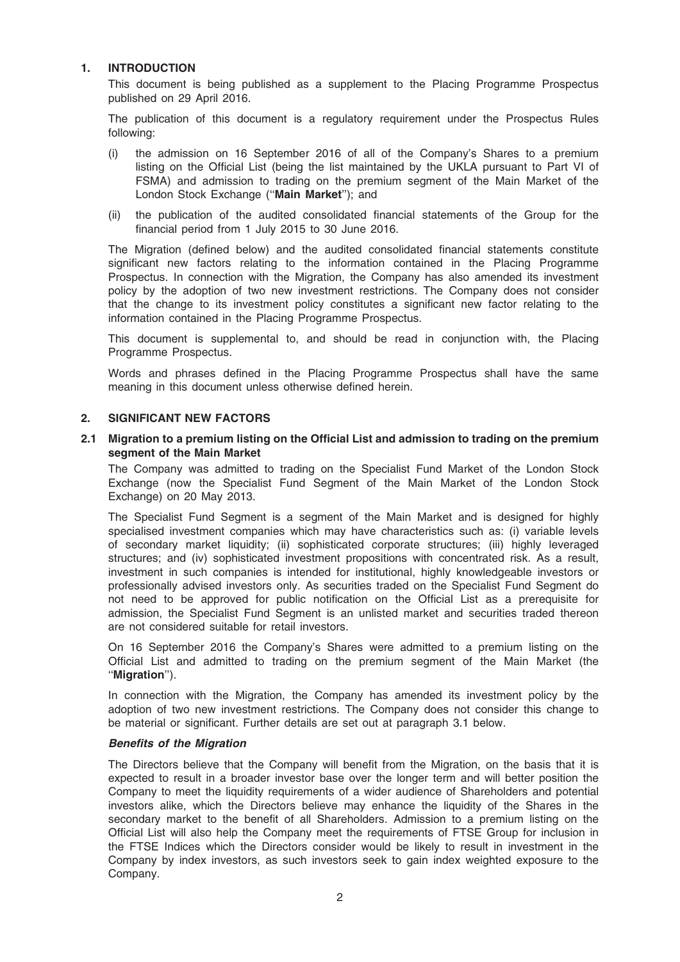#### 1. INTRODUCTION

This document is being published as a supplement to the Placing Programme Prospectus published on 29 April 2016.

The publication of this document is a regulatory requirement under the Prospectus Rules following:

- (i) the admission on 16 September 2016 of all of the Company's Shares to a premium listing on the Official List (being the list maintained by the UKLA pursuant to Part VI of FSMA) and admission to trading on the premium segment of the Main Market of the London Stock Exchange ("Main Market"); and
- (ii) the publication of the audited consolidated financial statements of the Group for the financial period from 1 July 2015 to 30 June 2016.

The Migration (defined below) and the audited consolidated financial statements constitute significant new factors relating to the information contained in the Placing Programme Prospectus. In connection with the Migration, the Company has also amended its investment policy by the adoption of two new investment restrictions. The Company does not consider that the change to its investment policy constitutes a significant new factor relating to the information contained in the Placing Programme Prospectus.

This document is supplemental to, and should be read in conjunction with, the Placing Programme Prospectus.

Words and phrases defined in the Placing Programme Prospectus shall have the same meaning in this document unless otherwise defined herein.

#### 2. SIGNIFICANT NEW FACTORS

2.1 Migration to a premium listing on the Official List and admission to trading on the premium segment of the Main Market

The Company was admitted to trading on the Specialist Fund Market of the London Stock Exchange (now the Specialist Fund Segment of the Main Market of the London Stock Exchange) on 20 May 2013.

The Specialist Fund Segment is a segment of the Main Market and is designed for highly specialised investment companies which may have characteristics such as: (i) variable levels of secondary market liquidity; (ii) sophisticated corporate structures; (iii) highly leveraged structures; and (iv) sophisticated investment propositions with concentrated risk. As a result, investment in such companies is intended for institutional, highly knowledgeable investors or professionally advised investors only. As securities traded on the Specialist Fund Segment do not need to be approved for public notification on the Official List as a prerequisite for admission, the Specialist Fund Segment is an unlisted market and securities traded thereon are not considered suitable for retail investors.

On 16 September 2016 the Company's Shares were admitted to a premium listing on the Official List and admitted to trading on the premium segment of the Main Market (the ''Migration'').

In connection with the Migration, the Company has amended its investment policy by the adoption of two new investment restrictions. The Company does not consider this change to be material or significant. Further details are set out at paragraph 3.1 below.

#### Benefits of the Migration

The Directors believe that the Company will benefit from the Migration, on the basis that it is expected to result in a broader investor base over the longer term and will better position the Company to meet the liquidity requirements of a wider audience of Shareholders and potential investors alike, which the Directors believe may enhance the liquidity of the Shares in the secondary market to the benefit of all Shareholders. Admission to a premium listing on the Official List will also help the Company meet the requirements of FTSE Group for inclusion in the FTSE Indices which the Directors consider would be likely to result in investment in the Company by index investors, as such investors seek to gain index weighted exposure to the Company.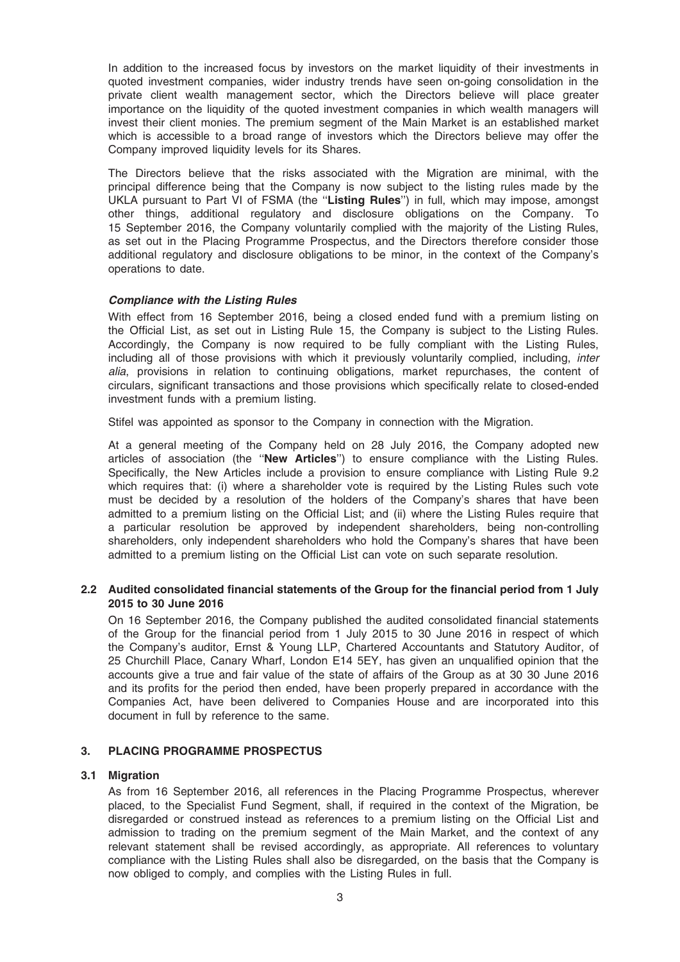In addition to the increased focus by investors on the market liquidity of their investments in quoted investment companies, wider industry trends have seen on-going consolidation in the private client wealth management sector, which the Directors believe will place greater importance on the liquidity of the quoted investment companies in which wealth managers will invest their client monies. The premium segment of the Main Market is an established market which is accessible to a broad range of investors which the Directors believe may offer the Company improved liquidity levels for its Shares.

The Directors believe that the risks associated with the Migration are minimal, with the principal difference being that the Company is now subject to the listing rules made by the UKLA pursuant to Part VI of FSMA (the "Listing Rules") in full, which may impose, amongst other things, additional regulatory and disclosure obligations on the Company. To 15 September 2016, the Company voluntarily complied with the majority of the Listing Rules, as set out in the Placing Programme Prospectus, and the Directors therefore consider those additional regulatory and disclosure obligations to be minor, in the context of the Company's operations to date.

#### Compliance with the Listing Rules

With effect from 16 September 2016, being a closed ended fund with a premium listing on the Official List, as set out in Listing Rule 15, the Company is subject to the Listing Rules. Accordingly, the Company is now required to be fully compliant with the Listing Rules, including all of those provisions with which it previously voluntarily complied, including, inter alia, provisions in relation to continuing obligations, market repurchases, the content of circulars, significant transactions and those provisions which specifically relate to closed-ended investment funds with a premium listing.

Stifel was appointed as sponsor to the Company in connection with the Migration.

At a general meeting of the Company held on 28 July 2016, the Company adopted new articles of association (the "New Articles") to ensure compliance with the Listing Rules. Specifically, the New Articles include a provision to ensure compliance with Listing Rule 9.2 which requires that: (i) where a shareholder vote is required by the Listing Rules such vote must be decided by a resolution of the holders of the Company's shares that have been admitted to a premium listing on the Official List; and (ii) where the Listing Rules require that a particular resolution be approved by independent shareholders, being non-controlling shareholders, only independent shareholders who hold the Company's shares that have been admitted to a premium listing on the Official List can vote on such separate resolution.

#### 2.2 Audited consolidated financial statements of the Group for the financial period from 1 July 2015 to 30 June 2016

On 16 September 2016, the Company published the audited consolidated financial statements of the Group for the financial period from 1 July 2015 to 30 June 2016 in respect of which the Company's auditor, Ernst & Young LLP, Chartered Accountants and Statutory Auditor, of 25 Churchill Place, Canary Wharf, London E14 5EY, has given an unqualified opinion that the accounts give a true and fair value of the state of affairs of the Group as at 30 30 June 2016 and its profits for the period then ended, have been properly prepared in accordance with the Companies Act, have been delivered to Companies House and are incorporated into this document in full by reference to the same.

### 3. PLACING PROGRAMME PROSPECTUS

#### 3.1 Migration

As from 16 September 2016, all references in the Placing Programme Prospectus, wherever placed, to the Specialist Fund Segment, shall, if required in the context of the Migration, be disregarded or construed instead as references to a premium listing on the Official List and admission to trading on the premium segment of the Main Market, and the context of any relevant statement shall be revised accordingly, as appropriate. All references to voluntary compliance with the Listing Rules shall also be disregarded, on the basis that the Company is now obliged to comply, and complies with the Listing Rules in full.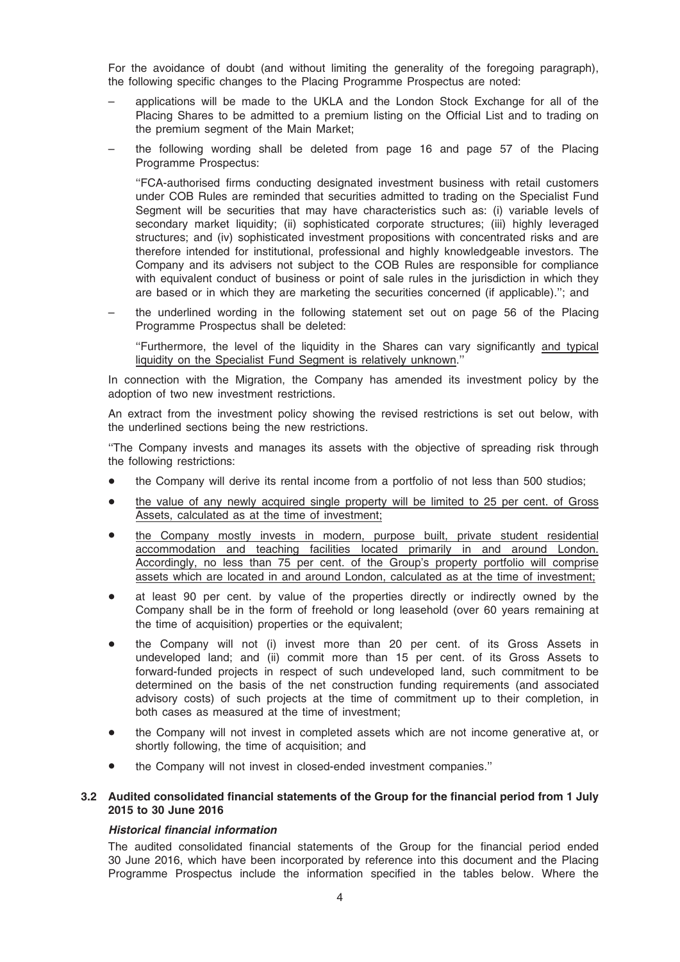For the avoidance of doubt (and without limiting the generality of the foregoing paragraph), the following specific changes to the Placing Programme Prospectus are noted:

- applications will be made to the UKLA and the London Stock Exchange for all of the Placing Shares to be admitted to a premium listing on the Official List and to trading on the premium segment of the Main Market;
- the following wording shall be deleted from page 16 and page 57 of the Placing Programme Prospectus:

''FCA-authorised firms conducting designated investment business with retail customers under COB Rules are reminded that securities admitted to trading on the Specialist Fund Segment will be securities that may have characteristics such as: (i) variable levels of secondary market liquidity; (ii) sophisticated corporate structures; (iii) highly leveraged structures; and (iv) sophisticated investment propositions with concentrated risks and are therefore intended for institutional, professional and highly knowledgeable investors. The Company and its advisers not subject to the COB Rules are responsible for compliance with equivalent conduct of business or point of sale rules in the jurisdiction in which they are based or in which they are marketing the securities concerned (if applicable).''; and

the underlined wording in the following statement set out on page 56 of the Placing Programme Prospectus shall be deleted:

''Furthermore, the level of the liquidity in the Shares can vary significantly and typical liquidity on the Specialist Fund Segment is relatively unknown.''

In connection with the Migration, the Company has amended its investment policy by the adoption of two new investment restrictions.

An extract from the investment policy showing the revised restrictions is set out below, with the underlined sections being the new restrictions.

''The Company invests and manages its assets with the objective of spreading risk through the following restrictions:

- the Company will derive its rental income from a portfolio of not less than 500 studios;
- the value of any newly acquired single property will be limited to 25 per cent. of Gross Assets, calculated as at the time of investment;
- the Company mostly invests in modern, purpose built, private student residential accommodation and teaching facilities located primarily in and around London. Accordingly, no less than 75 per cent. of the Group's property portfolio will comprise assets which are located in and around London, calculated as at the time of investment;
- at least 90 per cent. by value of the properties directly or indirectly owned by the Company shall be in the form of freehold or long leasehold (over 60 years remaining at the time of acquisition) properties or the equivalent;
- the Company will not (i) invest more than 20 per cent. of its Gross Assets in undeveloped land; and (ii) commit more than 15 per cent. of its Gross Assets to forward-funded projects in respect of such undeveloped land, such commitment to be determined on the basis of the net construction funding requirements (and associated advisory costs) of such projects at the time of commitment up to their completion, in both cases as measured at the time of investment;
- the Company will not invest in completed assets which are not income generative at, or shortly following, the time of acquisition; and
- the Company will not invest in closed-ended investment companies."

#### 3.2 Audited consolidated financial statements of the Group for the financial period from 1 July 2015 to 30 June 2016

#### Historical financial information

The audited consolidated financial statements of the Group for the financial period ended 30 June 2016, which have been incorporated by reference into this document and the Placing Programme Prospectus include the information specified in the tables below. Where the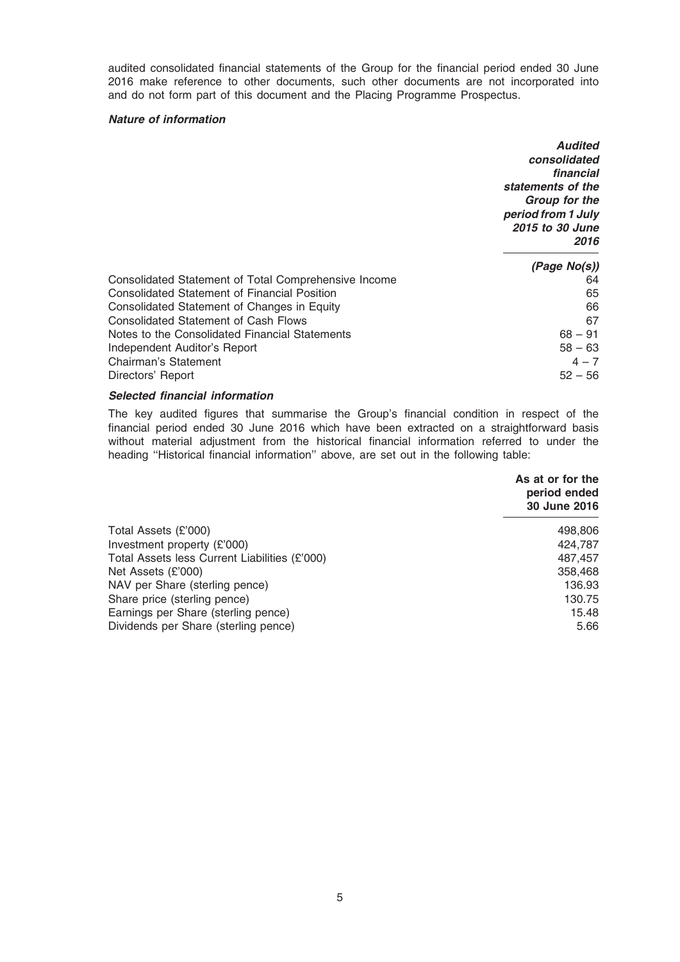audited consolidated financial statements of the Group for the financial period ended 30 June 2016 make reference to other documents, such other documents are not incorporated into and do not form part of this document and the Placing Programme Prospectus.

#### Nature of information

|                                                      | <b>Audited</b><br>consolidated<br>financial<br>statements of the<br>Group for the<br>period from 1 July<br><b>2015 to 30 June</b><br>2016 |
|------------------------------------------------------|-------------------------------------------------------------------------------------------------------------------------------------------|
|                                                      | (Page No(s))                                                                                                                              |
| Consolidated Statement of Total Comprehensive Income | 64                                                                                                                                        |
| <b>Consolidated Statement of Financial Position</b>  | 65                                                                                                                                        |
| Consolidated Statement of Changes in Equity          | 66                                                                                                                                        |
| <b>Consolidated Statement of Cash Flows</b>          | 67                                                                                                                                        |
| Notes to the Consolidated Financial Statements       | $68 - 91$                                                                                                                                 |
| Independent Auditor's Report                         | $58 - 63$                                                                                                                                 |
| Chairman's Statement                                 | $4 - 7$                                                                                                                                   |
| Directors' Report                                    | $52 - 56$                                                                                                                                 |

## Selected financial information

The key audited figures that summarise the Group's financial condition in respect of the financial period ended 30 June 2016 which have been extracted on a straightforward basis without material adjustment from the historical financial information referred to under the heading ''Historical financial information'' above, are set out in the following table:

|                                               | As at or for the<br>period ended<br>30 June 2016 |
|-----------------------------------------------|--------------------------------------------------|
| Total Assets (£'000)                          | 498,806                                          |
| Investment property (£'000)                   | 424,787                                          |
| Total Assets less Current Liabilities (£'000) | 487.457                                          |
| Net Assets (£'000)                            | 358,468                                          |
| NAV per Share (sterling pence)                | 136.93                                           |
| Share price (sterling pence)                  | 130.75                                           |
| Earnings per Share (sterling pence)           | 15.48                                            |
| Dividends per Share (sterling pence)          | 5.66                                             |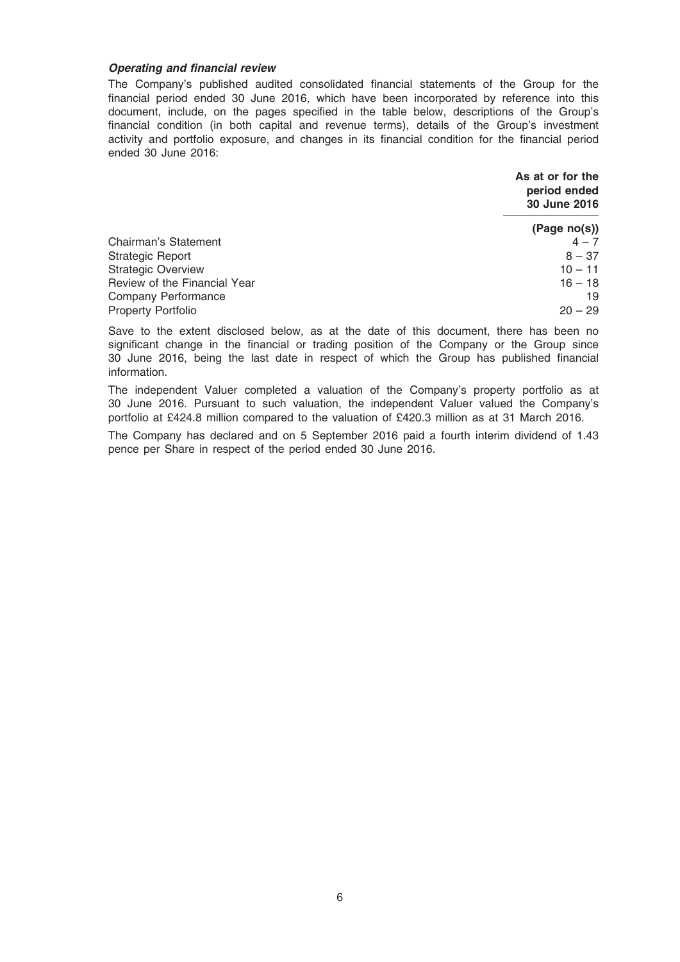#### Operating and financial review

The Company's published audited consolidated financial statements of the Group for the financial period ended 30 June 2016, which have been incorporated by reference into this document, include, on the pages specified in the table below, descriptions of the Group's financial condition (in both capital and revenue terms), details of the Group's investment activity and portfolio exposure, and changes in its financial condition for the financial period ended 30 June 2016:

|                              | As at or for the<br>period ended<br>30 June 2016 |
|------------------------------|--------------------------------------------------|
|                              | (Page no(s))                                     |
| Chairman's Statement         | $4 - 7$                                          |
| Strategic Report             | $8 - 37$                                         |
| <b>Strategic Overview</b>    | $10 - 11$                                        |
| Review of the Financial Year | $16 - 18$                                        |
| Company Performance          | 19                                               |
| Property Portfolio           | $20 - 29$                                        |

Save to the extent disclosed below, as at the date of this document, there has been no significant change in the financial or trading position of the Company or the Group since 30 June 2016, being the last date in respect of which the Group has published financial information.

The independent Valuer completed a valuation of the Company's property portfolio as at 30 June 2016. Pursuant to such valuation, the independent Valuer valued the Company's portfolio at £424.8 million compared to the valuation of £420.3 million as at 31 March 2016.

The Company has declared and on 5 September 2016 paid a fourth interim dividend of 1.43 pence per Share in respect of the period ended 30 June 2016.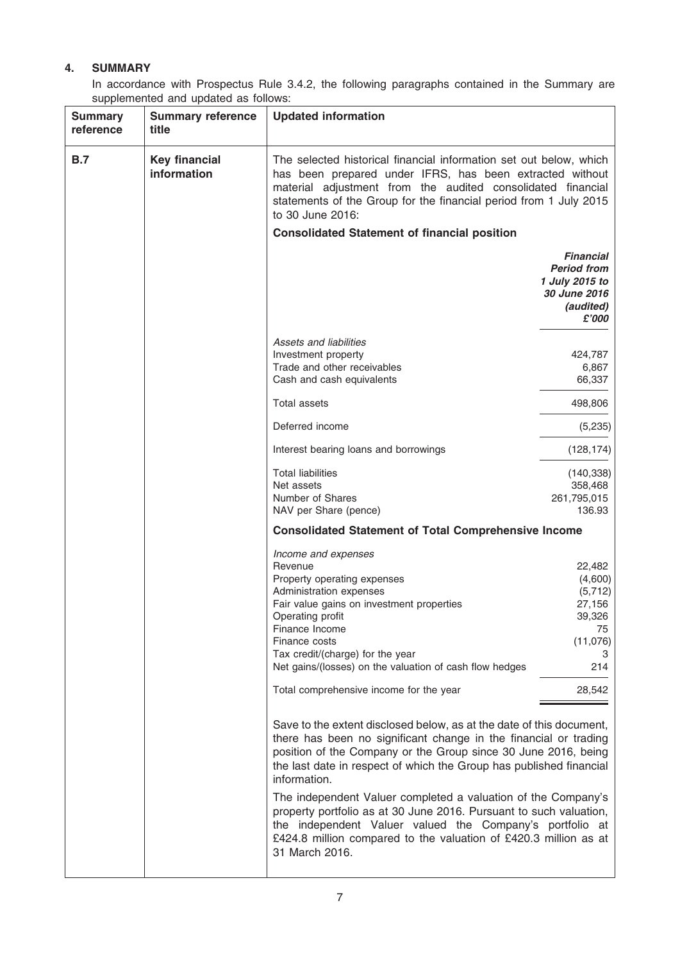## 4. SUMMARY

In accordance with Prospectus Rule 3.4.2, the following paragraphs contained in the Summary are supplemented and updated as follows:

| <b>Summary</b><br>reference | <b>Summary reference</b><br>title   | <b>Updated information</b>                                                                                                                                                                                                                                                                                                                                                                                                                                                                                                                                                                 |                                                                                                |
|-----------------------------|-------------------------------------|--------------------------------------------------------------------------------------------------------------------------------------------------------------------------------------------------------------------------------------------------------------------------------------------------------------------------------------------------------------------------------------------------------------------------------------------------------------------------------------------------------------------------------------------------------------------------------------------|------------------------------------------------------------------------------------------------|
| <b>B.7</b>                  | <b>Key financial</b><br>information | The selected historical financial information set out below, which<br>has been prepared under IFRS, has been extracted without<br>material adjustment from the audited consolidated financial<br>statements of the Group for the financial period from 1 July 2015<br>to 30 June 2016:                                                                                                                                                                                                                                                                                                     |                                                                                                |
|                             |                                     | <b>Consolidated Statement of financial position</b>                                                                                                                                                                                                                                                                                                                                                                                                                                                                                                                                        |                                                                                                |
|                             |                                     |                                                                                                                                                                                                                                                                                                                                                                                                                                                                                                                                                                                            | <b>Financial</b><br><b>Period from</b><br>1 July 2015 to<br>30 June 2016<br>(audited)<br>£'000 |
|                             |                                     | Assets and liabilities                                                                                                                                                                                                                                                                                                                                                                                                                                                                                                                                                                     |                                                                                                |
|                             |                                     | Investment property                                                                                                                                                                                                                                                                                                                                                                                                                                                                                                                                                                        | 424,787                                                                                        |
|                             |                                     | Trade and other receivables                                                                                                                                                                                                                                                                                                                                                                                                                                                                                                                                                                | 6,867                                                                                          |
|                             |                                     | Cash and cash equivalents                                                                                                                                                                                                                                                                                                                                                                                                                                                                                                                                                                  | 66,337                                                                                         |
|                             |                                     | <b>Total assets</b>                                                                                                                                                                                                                                                                                                                                                                                                                                                                                                                                                                        | 498,806                                                                                        |
|                             |                                     | Deferred income                                                                                                                                                                                                                                                                                                                                                                                                                                                                                                                                                                            | (5,235)                                                                                        |
|                             |                                     | Interest bearing loans and borrowings                                                                                                                                                                                                                                                                                                                                                                                                                                                                                                                                                      | (128, 174)                                                                                     |
|                             |                                     | <b>Total liabilities</b>                                                                                                                                                                                                                                                                                                                                                                                                                                                                                                                                                                   | (140, 338)                                                                                     |
|                             |                                     | Net assets                                                                                                                                                                                                                                                                                                                                                                                                                                                                                                                                                                                 | 358,468                                                                                        |
|                             |                                     | Number of Shares                                                                                                                                                                                                                                                                                                                                                                                                                                                                                                                                                                           | 261,795,015                                                                                    |
|                             |                                     | NAV per Share (pence)                                                                                                                                                                                                                                                                                                                                                                                                                                                                                                                                                                      | 136.93                                                                                         |
|                             |                                     | <b>Consolidated Statement of Total Comprehensive Income</b>                                                                                                                                                                                                                                                                                                                                                                                                                                                                                                                                |                                                                                                |
|                             |                                     | Income and expenses                                                                                                                                                                                                                                                                                                                                                                                                                                                                                                                                                                        |                                                                                                |
|                             |                                     | Revenue                                                                                                                                                                                                                                                                                                                                                                                                                                                                                                                                                                                    | 22,482                                                                                         |
|                             |                                     | Property operating expenses                                                                                                                                                                                                                                                                                                                                                                                                                                                                                                                                                                | (4,600)                                                                                        |
|                             |                                     | Administration expenses                                                                                                                                                                                                                                                                                                                                                                                                                                                                                                                                                                    | (5,712)                                                                                        |
|                             |                                     | Fair value gains on investment properties<br>Operating profit                                                                                                                                                                                                                                                                                                                                                                                                                                                                                                                              | 27,156<br>39,326                                                                               |
|                             |                                     | Finance Income                                                                                                                                                                                                                                                                                                                                                                                                                                                                                                                                                                             | 75                                                                                             |
|                             |                                     | Finance costs                                                                                                                                                                                                                                                                                                                                                                                                                                                                                                                                                                              | (11,076)                                                                                       |
|                             |                                     | Tax credit/(charge) for the year                                                                                                                                                                                                                                                                                                                                                                                                                                                                                                                                                           | З                                                                                              |
|                             |                                     | Net gains/(losses) on the valuation of cash flow hedges                                                                                                                                                                                                                                                                                                                                                                                                                                                                                                                                    | 214                                                                                            |
|                             |                                     | Total comprehensive income for the year                                                                                                                                                                                                                                                                                                                                                                                                                                                                                                                                                    | 28,542                                                                                         |
|                             |                                     | Save to the extent disclosed below, as at the date of this document,<br>there has been no significant change in the financial or trading<br>position of the Company or the Group since 30 June 2016, being<br>the last date in respect of which the Group has published financial<br>information.<br>The independent Valuer completed a valuation of the Company's<br>property portfolio as at 30 June 2016. Pursuant to such valuation,<br>the independent Valuer valued the Company's portfolio at<br>£424.8 million compared to the valuation of £420.3 million as at<br>31 March 2016. |                                                                                                |
|                             |                                     |                                                                                                                                                                                                                                                                                                                                                                                                                                                                                                                                                                                            |                                                                                                |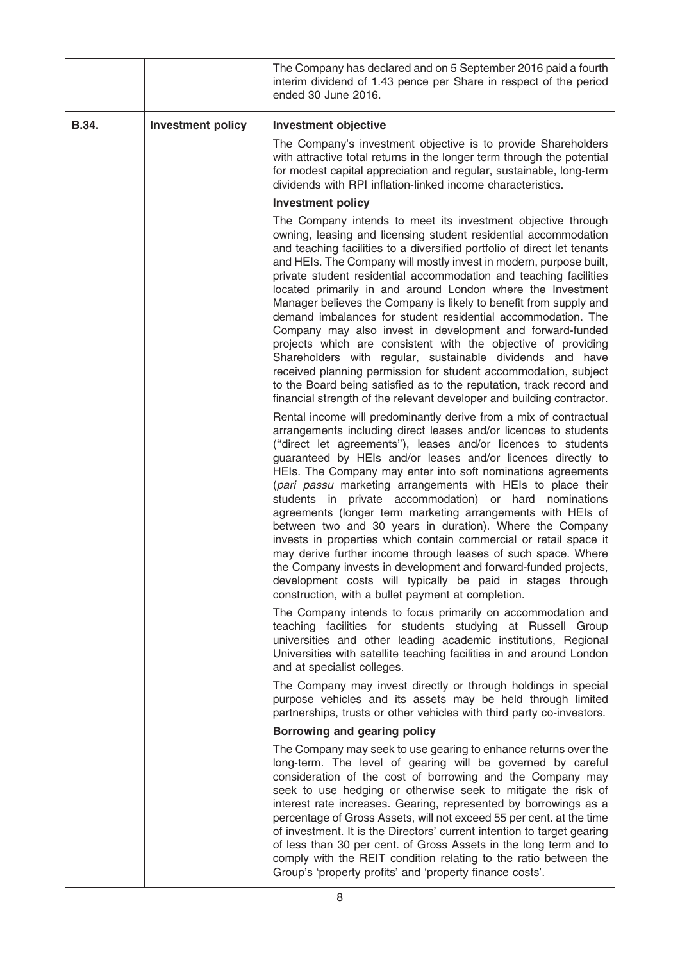|       |                          | The Company has declared and on 5 September 2016 paid a fourth<br>interim dividend of 1.43 pence per Share in respect of the period<br>ended 30 June 2016.                                                                                                                                                                                                                                                                                                                                                                                                                                                                                                                                                                                                                                                                                                                                      |
|-------|--------------------------|-------------------------------------------------------------------------------------------------------------------------------------------------------------------------------------------------------------------------------------------------------------------------------------------------------------------------------------------------------------------------------------------------------------------------------------------------------------------------------------------------------------------------------------------------------------------------------------------------------------------------------------------------------------------------------------------------------------------------------------------------------------------------------------------------------------------------------------------------------------------------------------------------|
| B.34. | <b>Investment policy</b> | <b>Investment objective</b>                                                                                                                                                                                                                                                                                                                                                                                                                                                                                                                                                                                                                                                                                                                                                                                                                                                                     |
|       |                          | The Company's investment objective is to provide Shareholders<br>with attractive total returns in the longer term through the potential<br>for modest capital appreciation and regular, sustainable, long-term<br>dividends with RPI inflation-linked income characteristics.                                                                                                                                                                                                                                                                                                                                                                                                                                                                                                                                                                                                                   |
|       |                          | <b>Investment policy</b>                                                                                                                                                                                                                                                                                                                                                                                                                                                                                                                                                                                                                                                                                                                                                                                                                                                                        |
|       |                          | The Company intends to meet its investment objective through<br>owning, leasing and licensing student residential accommodation<br>and teaching facilities to a diversified portfolio of direct let tenants<br>and HEIs. The Company will mostly invest in modern, purpose built,<br>private student residential accommodation and teaching facilities<br>located primarily in and around London where the Investment<br>Manager believes the Company is likely to benefit from supply and<br>demand imbalances for student residential accommodation. The<br>Company may also invest in development and forward-funded<br>projects which are consistent with the objective of providing<br>Shareholders with regular, sustainable dividends and have<br>received planning permission for student accommodation, subject<br>to the Board being satisfied as to the reputation, track record and |
|       |                          | financial strength of the relevant developer and building contractor.<br>Rental income will predominantly derive from a mix of contractual                                                                                                                                                                                                                                                                                                                                                                                                                                                                                                                                                                                                                                                                                                                                                      |
|       |                          | arrangements including direct leases and/or licences to students<br>("direct let agreements"), leases and/or licences to students<br>guaranteed by HEIs and/or leases and/or licences directly to<br>HEIs. The Company may enter into soft nominations agreements<br>(pari passu marketing arrangements with HEIs to place their<br>students in private accommodation) or hard nominations<br>agreements (longer term marketing arrangements with HEIs of<br>between two and 30 years in duration). Where the Company<br>invests in properties which contain commercial or retail space it<br>may derive further income through leases of such space. Where<br>the Company invests in development and forward-funded projects,<br>development costs will typically be paid in stages through<br>construction, with a bullet payment at completion.                                              |
|       |                          | The Company intends to focus primarily on accommodation and<br>teaching facilities for students studying at Russell Group<br>universities and other leading academic institutions, Regional<br>Universities with satellite teaching facilities in and around London<br>and at specialist colleges.                                                                                                                                                                                                                                                                                                                                                                                                                                                                                                                                                                                              |
|       |                          | The Company may invest directly or through holdings in special<br>purpose vehicles and its assets may be held through limited<br>partnerships, trusts or other vehicles with third party co-investors.                                                                                                                                                                                                                                                                                                                                                                                                                                                                                                                                                                                                                                                                                          |
|       |                          | Borrowing and gearing policy                                                                                                                                                                                                                                                                                                                                                                                                                                                                                                                                                                                                                                                                                                                                                                                                                                                                    |
|       |                          | The Company may seek to use gearing to enhance returns over the<br>long-term. The level of gearing will be governed by careful<br>consideration of the cost of borrowing and the Company may<br>seek to use hedging or otherwise seek to mitigate the risk of<br>interest rate increases. Gearing, represented by borrowings as a<br>percentage of Gross Assets, will not exceed 55 per cent. at the time<br>of investment. It is the Directors' current intention to target gearing<br>of less than 30 per cent. of Gross Assets in the long term and to<br>comply with the REIT condition relating to the ratio between the<br>Group's 'property profits' and 'property finance costs'.                                                                                                                                                                                                       |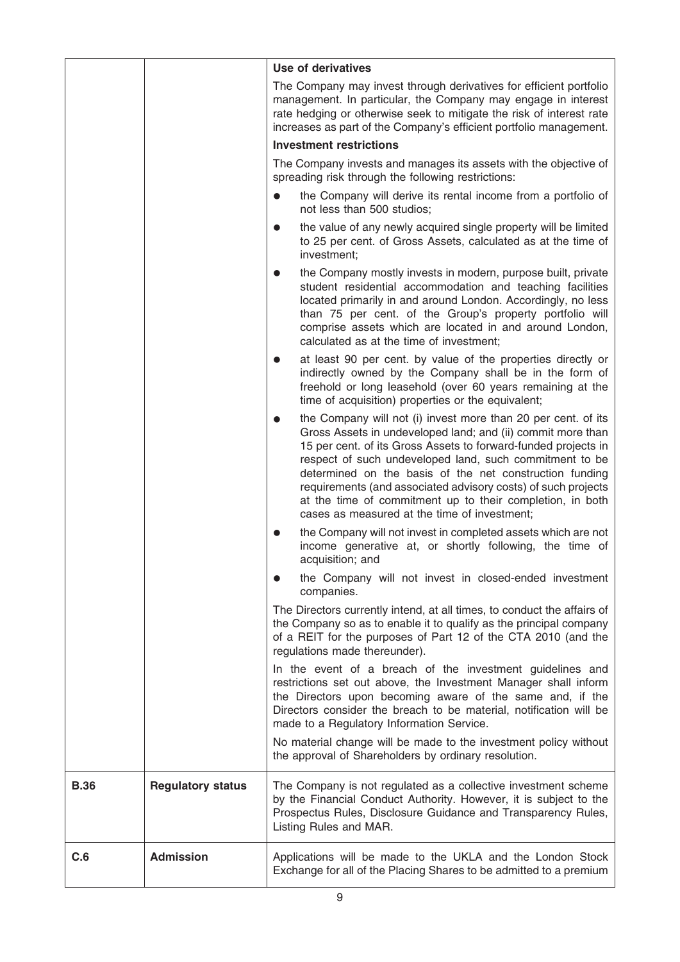|             |                          | <b>Use of derivatives</b>                                                                                                                                                                                                                                                                                                                                                                                                                                                                          |
|-------------|--------------------------|----------------------------------------------------------------------------------------------------------------------------------------------------------------------------------------------------------------------------------------------------------------------------------------------------------------------------------------------------------------------------------------------------------------------------------------------------------------------------------------------------|
|             |                          | The Company may invest through derivatives for efficient portfolio<br>management. In particular, the Company may engage in interest<br>rate hedging or otherwise seek to mitigate the risk of interest rate<br>increases as part of the Company's efficient portfolio management.                                                                                                                                                                                                                  |
|             |                          | <b>Investment restrictions</b>                                                                                                                                                                                                                                                                                                                                                                                                                                                                     |
|             |                          | The Company invests and manages its assets with the objective of<br>spreading risk through the following restrictions:                                                                                                                                                                                                                                                                                                                                                                             |
|             |                          | the Company will derive its rental income from a portfolio of<br>not less than 500 studios;                                                                                                                                                                                                                                                                                                                                                                                                        |
|             |                          | the value of any newly acquired single property will be limited<br>to 25 per cent. of Gross Assets, calculated as at the time of<br>investment;                                                                                                                                                                                                                                                                                                                                                    |
|             |                          | the Company mostly invests in modern, purpose built, private<br>student residential accommodation and teaching facilities<br>located primarily in and around London. Accordingly, no less<br>than 75 per cent. of the Group's property portfolio will<br>comprise assets which are located in and around London,<br>calculated as at the time of investment;                                                                                                                                       |
|             |                          | at least 90 per cent. by value of the properties directly or<br>indirectly owned by the Company shall be in the form of<br>freehold or long leasehold (over 60 years remaining at the<br>time of acquisition) properties or the equivalent;                                                                                                                                                                                                                                                        |
|             |                          | the Company will not (i) invest more than 20 per cent. of its<br>Gross Assets in undeveloped land; and (ii) commit more than<br>15 per cent. of its Gross Assets to forward-funded projects in<br>respect of such undeveloped land, such commitment to be<br>determined on the basis of the net construction funding<br>requirements (and associated advisory costs) of such projects<br>at the time of commitment up to their completion, in both<br>cases as measured at the time of investment; |
|             |                          | the Company will not invest in completed assets which are not<br>income generative at, or shortly following, the time of<br>acquisition; and                                                                                                                                                                                                                                                                                                                                                       |
|             |                          | the Company will not invest in closed-ended investment<br>companies.                                                                                                                                                                                                                                                                                                                                                                                                                               |
|             |                          | The Directors currently intend, at all times, to conduct the affairs of<br>the Company so as to enable it to qualify as the principal company<br>of a REIT for the purposes of Part 12 of the CTA 2010 (and the<br>regulations made thereunder).                                                                                                                                                                                                                                                   |
|             |                          | In the event of a breach of the investment guidelines and<br>restrictions set out above, the Investment Manager shall inform<br>the Directors upon becoming aware of the same and, if the<br>Directors consider the breach to be material, notification will be<br>made to a Regulatory Information Service.                                                                                                                                                                                       |
|             |                          | No material change will be made to the investment policy without<br>the approval of Shareholders by ordinary resolution.                                                                                                                                                                                                                                                                                                                                                                           |
| <b>B.36</b> | <b>Regulatory status</b> | The Company is not regulated as a collective investment scheme<br>by the Financial Conduct Authority. However, it is subject to the<br>Prospectus Rules, Disclosure Guidance and Transparency Rules,<br>Listing Rules and MAR.                                                                                                                                                                                                                                                                     |
| C.6         | <b>Admission</b>         | Applications will be made to the UKLA and the London Stock<br>Exchange for all of the Placing Shares to be admitted to a premium                                                                                                                                                                                                                                                                                                                                                                   |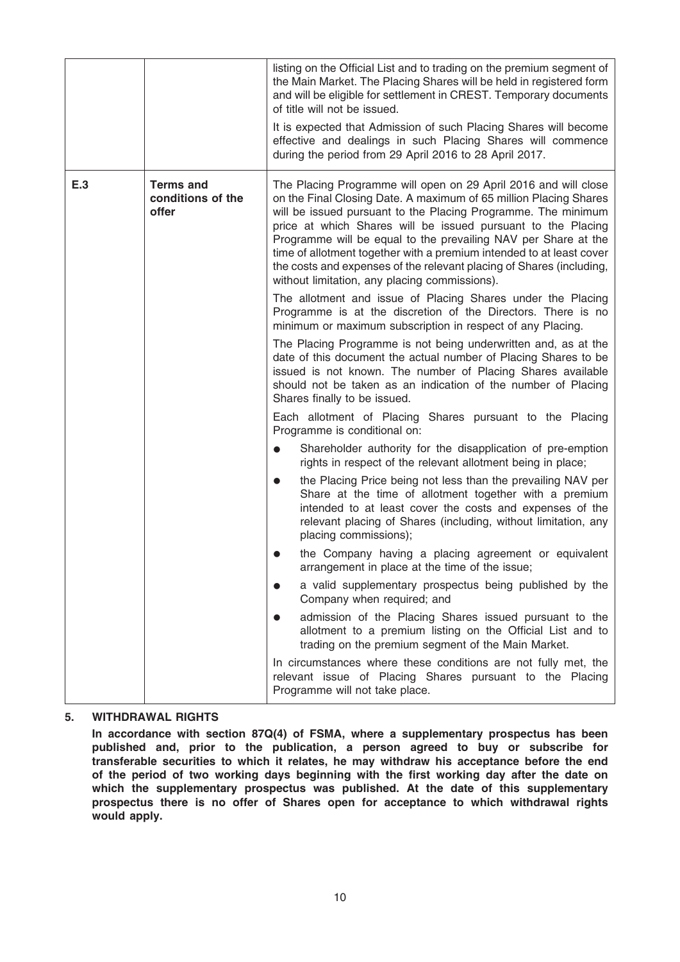|     |                                                | listing on the Official List and to trading on the premium segment of<br>the Main Market. The Placing Shares will be held in registered form<br>and will be eligible for settlement in CREST. Temporary documents<br>of title will not be issued.<br>It is expected that Admission of such Placing Shares will become<br>effective and dealings in such Placing Shares will commence<br>during the period from 29 April 2016 to 28 April 2017.                                                                                           |
|-----|------------------------------------------------|------------------------------------------------------------------------------------------------------------------------------------------------------------------------------------------------------------------------------------------------------------------------------------------------------------------------------------------------------------------------------------------------------------------------------------------------------------------------------------------------------------------------------------------|
| E.3 | <b>Terms and</b><br>conditions of the<br>offer | The Placing Programme will open on 29 April 2016 and will close<br>on the Final Closing Date. A maximum of 65 million Placing Shares<br>will be issued pursuant to the Placing Programme. The minimum<br>price at which Shares will be issued pursuant to the Placing<br>Programme will be equal to the prevailing NAV per Share at the<br>time of allotment together with a premium intended to at least cover<br>the costs and expenses of the relevant placing of Shares (including,<br>without limitation, any placing commissions). |
|     |                                                | The allotment and issue of Placing Shares under the Placing<br>Programme is at the discretion of the Directors. There is no<br>minimum or maximum subscription in respect of any Placing.                                                                                                                                                                                                                                                                                                                                                |
|     |                                                | The Placing Programme is not being underwritten and, as at the<br>date of this document the actual number of Placing Shares to be<br>issued is not known. The number of Placing Shares available<br>should not be taken as an indication of the number of Placing<br>Shares finally to be issued.                                                                                                                                                                                                                                        |
|     |                                                | Each allotment of Placing Shares pursuant to the Placing<br>Programme is conditional on:                                                                                                                                                                                                                                                                                                                                                                                                                                                 |
|     |                                                | Shareholder authority for the disapplication of pre-emption<br>rights in respect of the relevant allotment being in place;                                                                                                                                                                                                                                                                                                                                                                                                               |
|     |                                                | the Placing Price being not less than the prevailing NAV per<br>$\bullet$<br>Share at the time of allotment together with a premium<br>intended to at least cover the costs and expenses of the<br>relevant placing of Shares (including, without limitation, any<br>placing commissions);                                                                                                                                                                                                                                               |
|     |                                                | the Company having a placing agreement or equivalent<br>arrangement in place at the time of the issue;                                                                                                                                                                                                                                                                                                                                                                                                                                   |
|     |                                                | a valid supplementary prospectus being published by the<br>Company when required; and                                                                                                                                                                                                                                                                                                                                                                                                                                                    |
|     |                                                | admission of the Placing Shares issued pursuant to the<br>allotment to a premium listing on the Official List and to<br>trading on the premium segment of the Main Market.                                                                                                                                                                                                                                                                                                                                                               |
|     |                                                | In circumstances where these conditions are not fully met, the<br>relevant issue of Placing Shares pursuant to the Placing<br>Programme will not take place.                                                                                                                                                                                                                                                                                                                                                                             |

## 5. WITHDRAWAL RIGHTS

In accordance with section 87Q(4) of FSMA, where a supplementary prospectus has been published and, prior to the publication, a person agreed to buy or subscribe for transferable securities to which it relates, he may withdraw his acceptance before the end of the period of two working days beginning with the first working day after the date on which the supplementary prospectus was published. At the date of this supplementary prospectus there is no offer of Shares open for acceptance to which withdrawal rights would apply.